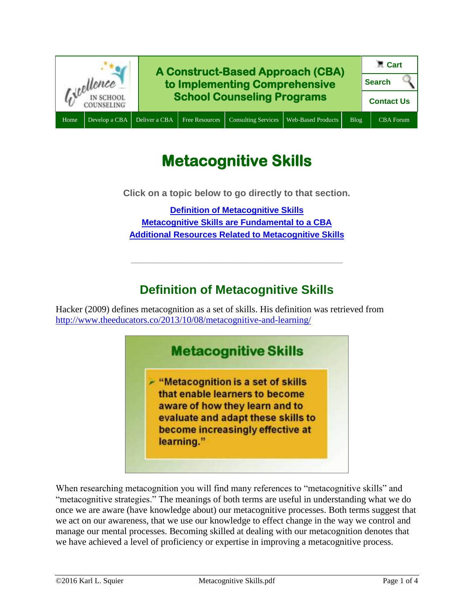

# **Metacognitive Skills**

**Click on a topic below to go directly to that section.**

**[Definition of Metacognitive Skills](#page-0-0) [Metacognitive Skills are](#page-1-0) Fundamental to a CBA [Additional Resources Related to Metacognitive Skills](#page-1-1)**

# **Definition of Metacognitive Skills**

**\_\_\_\_\_\_\_\_\_\_\_\_\_\_\_\_\_\_\_\_\_\_\_\_\_\_\_\_\_\_\_\_\_\_\_\_\_\_\_\_\_**

<span id="page-0-0"></span>Hacker (2009) defines metacognition as a set of skills. His definition was retrieved from <http://www.theeducators.co/2013/10/08/metacognitive-and-learning/>



When researching metacognition you will find many references to "metacognitive skills" and "metacognitive strategies." The meanings of both terms are useful in understanding what we do once we are aware (have knowledge about) our metacognitive processes. Both terms suggest that we act on our awareness, that we use our knowledge to effect change in the way we control and manage our mental processes. Becoming skilled at dealing with our metacognition denotes that we have achieved a level of proficiency or expertise in improving a metacognitive process.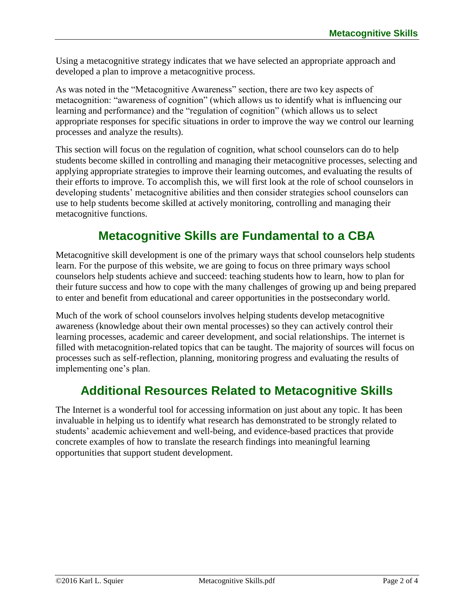Using a metacognitive strategy indicates that we have selected an appropriate approach and developed a plan to improve a metacognitive process.

As was noted in the "Metacognitive Awareness" section, there are two key aspects of metacognition: "awareness of cognition" (which allows us to identify what is influencing our learning and performance) and the "regulation of cognition" (which allows us to select appropriate responses for specific situations in order to improve the way we control our learning processes and analyze the results).

This section will focus on the regulation of cognition, what school counselors can do to help students become skilled in controlling and managing their metacognitive processes, selecting and applying appropriate strategies to improve their learning outcomes, and evaluating the results of their efforts to improve. To accomplish this, we will first look at the role of school counselors in developing students' metacognitive abilities and then consider strategies school counselors can use to help students become skilled at actively monitoring, controlling and managing their metacognitive functions.

# **Metacognitive Skills are Fundamental to a CBA**

<span id="page-1-0"></span>Metacognitive skill development is one of the primary ways that school counselors help students learn. For the purpose of this website, we are going to focus on three primary ways school counselors help students achieve and succeed: teaching students how to learn, how to plan for their future success and how to cope with the many challenges of growing up and being prepared to enter and benefit from educational and career opportunities in the postsecondary world.

Much of the work of school counselors involves helping students develop metacognitive awareness (knowledge about their own mental processes) so they can actively control their learning processes, academic and career development, and social relationships. The internet is filled with metacognition-related topics that can be taught. The majority of sources will focus on processes such as self-reflection, planning, monitoring progress and evaluating the results of implementing one's plan.

# **Additional Resources Related to Metacognitive Skills**

<span id="page-1-1"></span>The Internet is a wonderful tool for accessing information on just about any topic. It has been invaluable in helping us to identify what research has demonstrated to be strongly related to students' academic achievement and well-being, and evidence-based practices that provide concrete examples of how to translate the research findings into meaningful learning opportunities that support student development.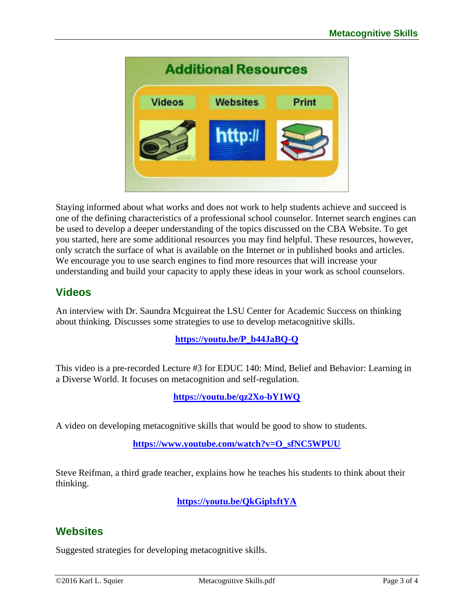

Staying informed about what works and does not work to help students achieve and succeed is one of the defining characteristics of a professional school counselor. Internet search engines can be used to develop a deeper understanding of the topics discussed on the CBA Website. To get you started, here are some additional resources you may find helpful. These resources, however, only scratch the surface of what is available on the Internet or in published books and articles. We encourage you to use search engines to find more resources that will increase your understanding and build your capacity to apply these ideas in your work as school counselors.

## **Videos**

An interview with Dr. Saundra Mcguireat the LSU Center for Academic Success on thinking about thinking. Discusses some strategies to use to develop metacognitive skills.

### **[https://youtu.be/P\\_b44JaBQ-Q](https://youtu.be/P_b44JaBQ-Q)**

This video is a pre-recorded Lecture #3 for EDUC 140: Mind, Belief and Behavior: Learning in a Diverse World. It focuses on metacognition and self-regulation.

**<https://youtu.be/qz2Xo-bY1WQ>**

A video on developing metacognitive skills that would be good to show to students.

**[https://www.youtube.com/watch?v=O\\_sfNC5WPUU](https://www.youtube.com/watch?v=O_sfNC5WPUU)**

Steve Reifman, a third grade teacher, explains how he teaches his students to think about their thinking.

**<https://youtu.be/QkGiplxftYA>**

## **Websites**

Suggested strategies for developing metacognitive skills.